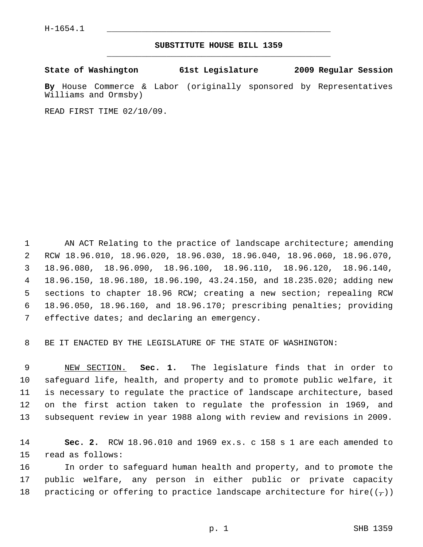## **SUBSTITUTE HOUSE BILL 1359** \_\_\_\_\_\_\_\_\_\_\_\_\_\_\_\_\_\_\_\_\_\_\_\_\_\_\_\_\_\_\_\_\_\_\_\_\_\_\_\_\_\_\_\_\_

**State of Washington 61st Legislature 2009 Regular Session**

**By** House Commerce & Labor (originally sponsored by Representatives Williams and Ormsby)

READ FIRST TIME 02/10/09.

1 AN ACT Relating to the practice of landscape architecture; amending 2 RCW 18.96.010, 18.96.020, 18.96.030, 18.96.040, 18.96.060, 18.96.070, 3 18.96.080, 18.96.090, 18.96.100, 18.96.110, 18.96.120, 18.96.140, 4 18.96.150, 18.96.180, 18.96.190, 43.24.150, and 18.235.020; adding new 5 sections to chapter 18.96 RCW; creating a new section; repealing RCW 6 18.96.050, 18.96.160, and 18.96.170; prescribing penalties; providing 7 effective dates; and declaring an emergency.

8 BE IT ENACTED BY THE LEGISLATURE OF THE STATE OF WASHINGTON:

 9 NEW SECTION. **Sec. 1.** The legislature finds that in order to 10 safeguard life, health, and property and to promote public welfare, it 11 is necessary to regulate the practice of landscape architecture, based 12 on the first action taken to regulate the profession in 1969, and 13 subsequent review in year 1988 along with review and revisions in 2009.

14 **Sec. 2.** RCW 18.96.010 and 1969 ex.s. c 158 s 1 are each amended to 15 read as follows:

16 In order to safeguard human health and property, and to promote the 17 public welfare, any person in either public or private capacity 18 practicing or offering to practice landscape architecture for hire( $(\tau)$ )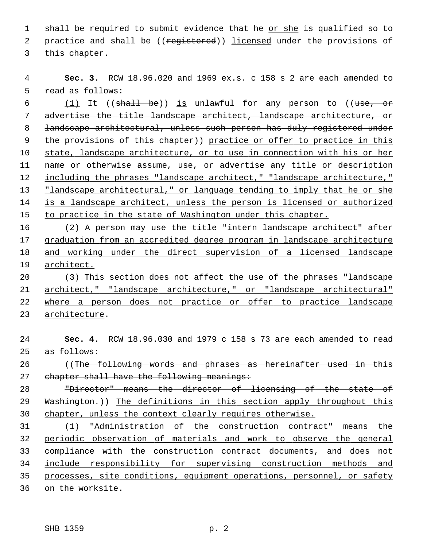1 shall be required to submit evidence that he or she is qualified so to 2 practice and shall be ((registered)) licensed under the provisions of 3 this chapter.

 **Sec. 3.** RCW 18.96.020 and 1969 ex.s. c 158 s 2 are each amended to 5 read as follows:

6 (1) It (( $\frac{1}{10}$ ) is unlawful for any person to (( $\frac{1}{100}$ ) is unlawful for any person to (( $\frac{1}{100}$ ) advertise the title landscape architect, landscape architecture, or 8 landscape architectural, unless such person has duly registered under 9 the provisions of this chapter)) practice or offer to practice in this state, landscape architecture, or to use in connection with his or her name or otherwise assume, use, or advertise any title or description 12 including the phrases "landscape architect," "landscape architecture," "landscape architectural," or language tending to imply that he or she is a landscape architect, unless the person is licensed or authorized to practice in the state of Washington under this chapter.

 (2) A person may use the title "intern landscape architect" after graduation from an accredited degree program in landscape architecture and working under the direct supervision of a licensed landscape architect.

 (3) This section does not affect the use of the phrases "landscape architect," "landscape architecture," or "landscape architectural" where a person does not practice or offer to practice landscape architecture.

 **Sec. 4.** RCW 18.96.030 and 1979 c 158 s 73 are each amended to read 25 as follows: 26 ((The following words and phrases as hereinafter used in this 27 chapter shall have the following meanings: "Director" means the director of licensing of the state of 29 Washington.)) The definitions in this section apply throughout this chapter, unless the context clearly requires otherwise. (1) "Administration of the construction contract" means the periodic observation of materials and work to observe the general compliance with the construction contract documents, and does not

 include responsibility for supervising construction methods and processes, site conditions, equipment operations, personnel, or safety

on the worksite.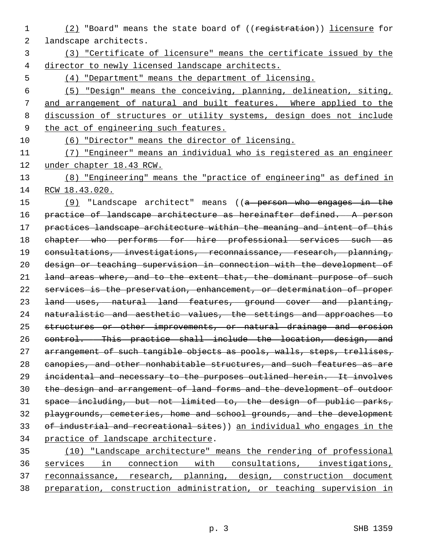- (2) "Board" means the state board of ((registration)) licensure for 2 landscape architects.
- (3) "Certificate of licensure" means the certificate issued by the director to newly licensed landscape architects.
- (4) "Department" means the department of licensing.

 (5) "Design" means the conceiving, planning, delineation, siting, and arrangement of natural and built features. Where applied to the discussion of structures or utility systems, design does not include the act of engineering such features.

- (6) "Director" means the director of licensing.
- (7) "Engineer" means an individual who is registered as an engineer under chapter 18.43 RCW.
- (8) "Engineering" means the "practice of engineering" as defined in RCW 18.43.020.

15 (9) "Landscape architect" means ((a person who engages in the 16 practice of landscape architecture as hereinafter defined. A person 17 practices landscape architecture within the meaning and intent of this chapter who performs for hire professional services such as consultations, investigations, reconnaissance, research, planning, design or teaching supervision in connection with the development of 21 land areas where, and to the extent that, the dominant purpose of such services is the preservation, enhancement, or determination of proper land uses, natural land features, ground cover and planting, naturalistic and aesthetic values, the settings and approaches to 25 structures or other improvements, or natural drainage and erosion control. This practice shall include the location, design, and 27 arrangement of such tangible objects as pools, walls, steps, trellises, 28 canopies, and other nonhabitable structures, and such features as are incidental and necessary to the purposes outlined herein. It involves the design and arrangement of land forms and the development of outdoor space including, but not limited to, the design of public parks, playgrounds, cemeteries, home and school grounds, and the development 33 of industrial and recreational sites)) an individual who engages in the practice of landscape architecture.

 (10) "Landscape architecture" means the rendering of professional services in connection with consultations, investigations, reconnaissance, research, planning, design, construction document preparation, construction administration, or teaching supervision in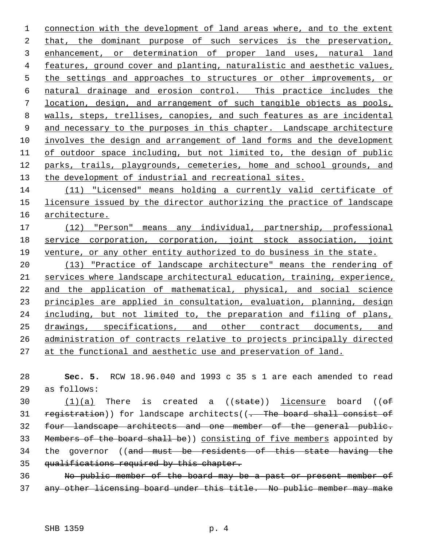1 connection with the development of land areas where, and to the extent that, the dominant purpose of such services is the preservation, enhancement, or determination of proper land uses, natural land features, ground cover and planting, naturalistic and aesthetic values, 5 the settings and approaches to structures or other improvements, or natural drainage and erosion control. This practice includes the location, design, and arrangement of such tangible objects as pools, walls, steps, trellises, canopies, and such features as are incidental and necessary to the purposes in this chapter. Landscape architecture involves the design and arrangement of land forms and the development of outdoor space including, but not limited to, the design of public parks, trails, playgrounds, cemeteries, home and school grounds, and the development of industrial and recreational sites.

 (11) "Licensed" means holding a currently valid certificate of licensure issued by the director authorizing the practice of landscape architecture.

 (12) "Person" means any individual, partnership, professional service corporation, corporation, joint stock association, joint venture, or any other entity authorized to do business in the state.

 (13) "Practice of landscape architecture" means the rendering of 21 services where landscape architectural education, training, experience, and the application of mathematical, physical, and social science principles are applied in consultation, evaluation, planning, design including, but not limited to, the preparation and filing of plans, drawings, specifications, and other contract documents, and administration of contracts relative to projects principally directed at the functional and aesthetic use and preservation of land.

 **Sec. 5.** RCW 18.96.040 and 1993 c 35 s 1 are each amended to read 29 as follows:

30  $(1)(a)$  There is created a  $( (state) )$  licensure board  $( (of$ 31 registration)) for landscape architects( $(-$  The board shall consist of four landscape architects and one member of the general public. Members of the board shall be)) consisting of five members appointed by 34 the governor ((and must be residents of this state having the 35 qualifications required by this chapter.

 No public member of the board may be a past or present member of any other licensing board under this title. No public member may make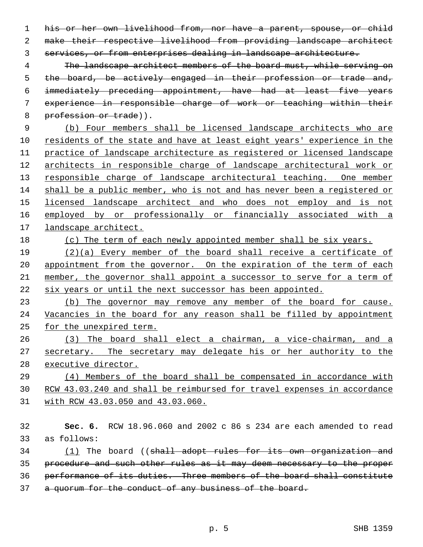his or her own livelihood from, nor have a parent, spouse, or child make their respective livelihood from providing landscape architect services, or from enterprises dealing in landscape architecture.

 The landscape architect members of the board must, while serving on the board, be actively engaged in their profession or trade and, immediately preceding appointment, have had at least five years experience in responsible charge of work or teaching within their 8 profession or trade)).

 (b) Four members shall be licensed landscape architects who are residents of the state and have at least eight years' experience in the practice of landscape architecture as registered or licensed landscape architects in responsible charge of landscape architectural work or 13 responsible charge of landscape architectural teaching. One member shall be a public member, who is not and has never been a registered or licensed landscape architect and who does not employ and is not employed by or professionally or financially associated with a landscape architect.

(c) The term of each newly appointed member shall be six years.

19 (2)(a) Every member of the board shall receive a certificate of 20 appointment from the governor. On the expiration of the term of each member, the governor shall appoint a successor to serve for a term of six years or until the next successor has been appointed.

 (b) The governor may remove any member of the board for cause. Vacancies in the board for any reason shall be filled by appointment for the unexpired term.

 (3) The board shall elect a chairman, a vice-chairman, and a secretary. The secretary may delegate his or her authority to the executive director.

 (4) Members of the board shall be compensated in accordance with RCW 43.03.240 and shall be reimbursed for travel expenses in accordance with RCW 43.03.050 and 43.03.060.

 **Sec. 6.** RCW 18.96.060 and 2002 c 86 s 234 are each amended to read 33 as follows: 34 (1) The board ((shall adopt rules for its own organization and

procedure and such other rules as it may deem necessary to the proper

performance of its duties. Three members of the board shall constitute

37 a quorum for the conduct of any business of the board.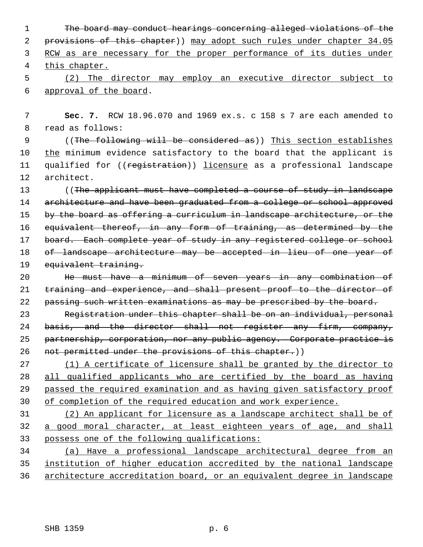The board may conduct hearings concerning alleged violations of the 2 provisions of this chapter)) may adopt such rules under chapter 34.05 RCW as are necessary for the proper performance of its duties under this chapter. (2) The director may employ an executive director subject to

6 approval of the board.

 7 **Sec. 7.** RCW 18.96.070 and 1969 ex.s. c 158 s 7 are each amended to 8 read as follows:

 9 ((The following will be considered as)) This section establishes 10 the minimum evidence satisfactory to the board that the applicant is 11 qualified for ((registration)) licensure as a professional landscape 12 architect.

13 ((The applicant must have completed a course of study in landscape 14 architecture and have been graduated from a college or school approved 15 by the board as offering a curriculum in landscape architecture, or the 16 equivalent thereof, in any form of training, as determined by the 17 board. Each complete year of study in any registered college or school 18 of landscape architecture may be accepted in lieu of one year of 19 equivalent training.

20 He must have a minimum of seven years in any combination of 21 training and experience, and shall present proof to the director of 22 passing such written examinations as may be prescribed by the board.

23 Registration under this chapter shall be on an individual, personal 24 basis, and the director shall not register any firm, company, 25 partnership, corporation, nor any public agency. Corporate practice is 26 not permitted under the provisions of this chapter.))

 (1) A certificate of licensure shall be granted by the director to all qualified applicants who are certified by the board as having passed the required examination and as having given satisfactory proof of completion of the required education and work experience.

31 (2) An applicant for licensure as a landscape architect shall be of 32 a good moral character, at least eighteen years of age, and shall 33 possess one of the following qualifications:

34 (a) Have a professional landscape architectural degree from an 35 institution of higher education accredited by the national landscape 36 architecture accreditation board, or an equivalent degree in landscape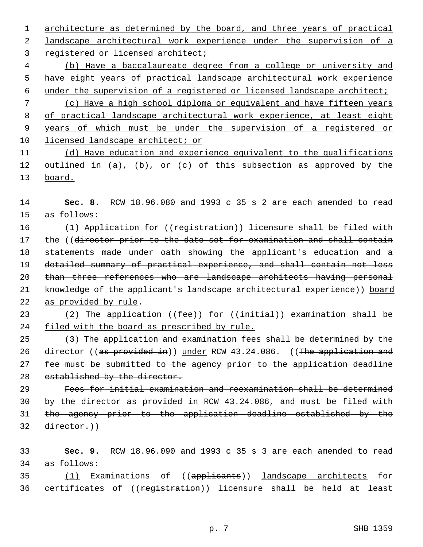architecture as determined by the board, and three years of practical landscape architectural work experience under the supervision of a

registered or licensed architect;

 (b) Have a baccalaureate degree from a college or university and have eight years of practical landscape architectural work experience under the supervision of a registered or licensed landscape architect;

 (c) Have a high school diploma or equivalent and have fifteen years of practical landscape architectural work experience, at least eight years of which must be under the supervision of a registered or licensed landscape architect; or

 (d) Have education and experience equivalent to the qualifications outlined in (a), (b), or (c) of this subsection as approved by the board.

 **Sec. 8.** RCW 18.96.080 and 1993 c 35 s 2 are each amended to read 15 as follows:

16 (1) Application for ((registration)) licensure shall be filed with 17 the ((director prior to the date set for examination and shall contain statements made under oath showing the applicant's education and a detailed summary of practical experience, and shall contain not less 20 than three references who are landscape architects having personal 21 knowledge of the applicant's landscape architectural experience)) board as provided by rule.

23 (2) The application  $($  ( $fee$ ) for  $($   $\{$ initial)) examination shall be 24 filed with the board as prescribed by rule.

 (3) The application and examination fees shall be determined by the 26 director ((as provided in)) under RCW 43.24.086. ((The application and fee must be submitted to the agency prior to the application deadline 28 established by the director.

 Fees for initial examination and reexamination shall be determined by the director as provided in RCW 43.24.086, and must be filed with the agency prior to the application deadline established by the director.)

 **Sec. 9.** RCW 18.96.090 and 1993 c 35 s 3 are each amended to read 34 as follows:

35 (1) Examinations of ((applicants)) landscape architects for 36 certificates of ((registration)) licensure shall be held at least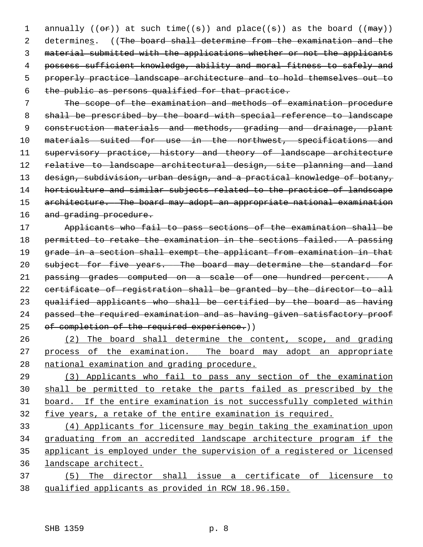1 annually (( $\Theta$ r)) at such time( $(\theta)$ ) and place( $(\theta)$ ) as the board ( $(\theta$  $\theta$ )) 2 determines. ((The board shall determine from the examination and the 3 material submitted with the applications whether or not the applicants 4 possess sufficient knowledge, ability and moral fitness to safely and 5 properly practice landscape architecture and to hold themselves out to 6 the public as persons qualified for that practice.

 7 The scope of the examination and methods of examination procedure 8 shall be prescribed by the board with special reference to landscape 9 construction materials and methods, grading and drainage, plant 10 materials suited for use in the northwest, specifications and 11 supervisory practice, history and theory of landscape architecture 12 relative to landscape architectural design, site planning and land 13 design, subdivision, urban design, and a practical knowledge of botany, 14 horticulture and similar subjects related to the practice of landscape 15 architecture. The board may adopt an appropriate national examination 16 and grading procedure.

17 Applicants who fail to pass sections of the examination shall be 18 permitted to retake the examination in the sections failed. A passing 19 grade in a section shall exempt the applicant from examination in that 20 subject for five years. The board may determine the standard for 21 passing grades computed on a scale of one hundred percent. A 22 certificate of registration shall be granted by the director to all 23 qualified applicants who shall be certified by the board as having 24 passed the required examination and as having given satisfactory proof 25 of completion of the required experience.))

26 (2) The board shall determine the content, scope, and grading 27 process of the examination. The board may adopt an appropriate 28 national examination and grading procedure.

 (3) Applicants who fail to pass any section of the examination shall be permitted to retake the parts failed as prescribed by the board. If the entire examination is not successfully completed within five years, a retake of the entire examination is required.

 (4) Applicants for licensure may begin taking the examination upon graduating from an accredited landscape architecture program if the applicant is employed under the supervision of a registered or licensed landscape architect.

37 (5) The director shall issue a certificate of licensure to 38 qualified applicants as provided in RCW 18.96.150.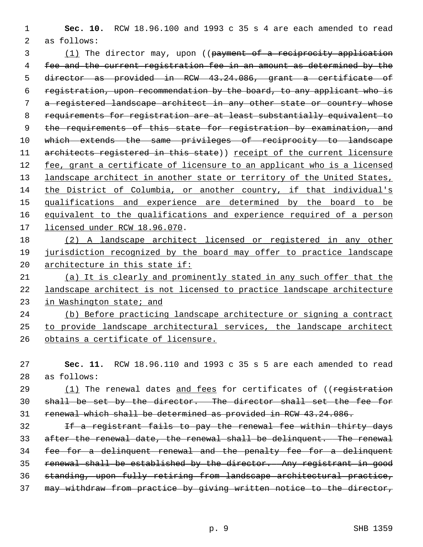**Sec. 10.** RCW 18.96.100 and 1993 c 35 s 4 are each amended to read 2 as follows:

3 (1) The director may, upon ((payment of a reciprocity application fee and the current registration fee in an amount as determined by the director as provided in RCW 43.24.086, grant a certificate of registration, upon recommendation by the board, to any applicant who is a registered landscape architect in any other state or country whose requirements for registration are at least substantially equivalent to 9 the requirements of this state for registration by examination, and 10 which extends the same privileges of reciprocity to landscape 11 architects registered in this state)) receipt of the current licensure fee, grant a certificate of licensure to an applicant who is a licensed 13 landscape architect in another state or territory of the United States, the District of Columbia, or another country, if that individual's qualifications and experience are determined by the board to be equivalent to the qualifications and experience required of a person licensed under RCW 18.96.070.

 (2) A landscape architect licensed or registered in any other jurisdiction recognized by the board may offer to practice landscape architecture in this state if:

 (a) It is clearly and prominently stated in any such offer that the landscape architect is not licensed to practice landscape architecture in Washington state; and

 (b) Before practicing landscape architecture or signing a contract to provide landscape architectural services, the landscape architect obtains a certificate of licensure.

 **Sec. 11.** RCW 18.96.110 and 1993 c 35 s 5 are each amended to read 28 as follows:

29 (1) The renewal dates and fees for certificates of ((registration shall be set by the director. The director shall set the fee for renewal which shall be determined as provided in RCW 43.24.086.

 If a registrant fails to pay the renewal fee within thirty days after the renewal date, the renewal shall be delinquent. The renewal fee for a delinquent renewal and the penalty fee for a delinquent renewal shall be established by the director. Any registrant in good standing, upon fully retiring from landscape architectural practice, may withdraw from practice by giving written notice to the director,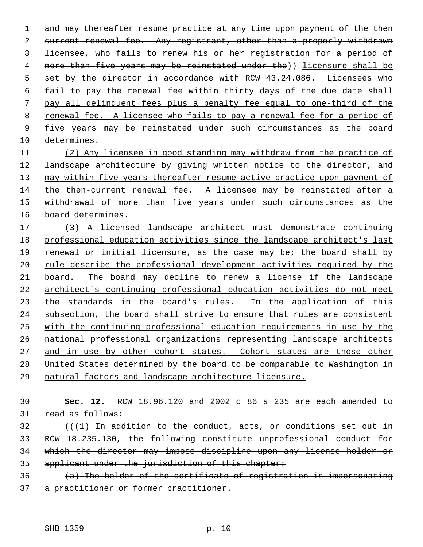1 and may thereafter resume practice at any time upon payment of the then current renewal fee. Any registrant, other than a properly withdrawn licensee, who fails to renew his or her registration for a period of more than five years may be reinstated under the)) licensure shall be 5 set by the director in accordance with RCW 43.24.086. Licensees who fail to pay the renewal fee within thirty days of the due date shall pay all delinquent fees plus a penalty fee equal to one-third of the renewal fee. A licensee who fails to pay a renewal fee for a period of five years may be reinstated under such circumstances as the board determines. (2) Any licensee in good standing may withdraw from the practice of

 landscape architecture by giving written notice to the director, and may within five years thereafter resume active practice upon payment of the then-current renewal fee. A licensee may be reinstated after a withdrawal of more than five years under such circumstances as the 16 board determines.

 (3) A licensed landscape architect must demonstrate continuing professional education activities since the landscape architect's last renewal or initial licensure, as the case may be; the board shall by rule describe the professional development activities required by the board. The board may decline to renew a license if the landscape architect's continuing professional education activities do not meet 23 the standards in the board's rules. In the application of this subsection, the board shall strive to ensure that rules are consistent with the continuing professional education requirements in use by the national professional organizations representing landscape architects 27 and in use by other cohort states. Cohort states are those other United States determined by the board to be comparable to Washington in natural factors and landscape architecture licensure.

 **Sec. 12.** RCW 18.96.120 and 2002 c 86 s 235 are each amended to 31 read as follows:

 (( $(1)$  In addition to the conduct, acts, or conditions set out in RCW 18.235.130, the following constitute unprofessional conduct for which the director may impose discipline upon any license holder or applicant under the jurisdiction of this chapter:

 (a) The holder of the certificate of registration is impersonating a practitioner or former practitioner.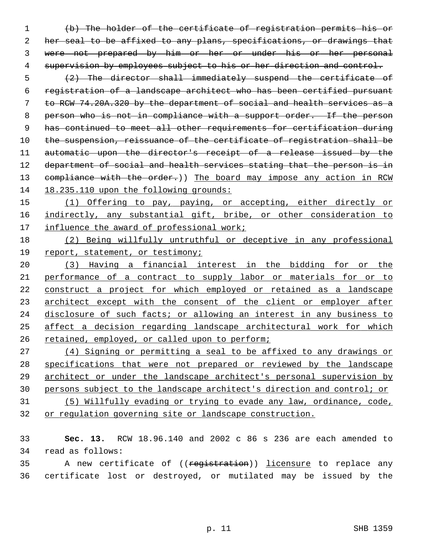(b) The holder of the certificate of registration permits his or her seal to be affixed to any plans, specifications, or drawings that were not prepared by him or her or under his or her personal 4 supervision by employees subject to his or her direction and control.

 (2) The director shall immediately suspend the certificate of registration of a landscape architect who has been certified pursuant to RCW 74.20A.320 by the department of social and health services as a 8 person who is not in compliance with a support order. If the person has continued to meet all other requirements for certification during 10 the suspension, reissuance of the certificate of registration shall be automatic upon the director's receipt of a release issued by the 12 department of social and health services stating that the person is in 13 compliance with the order.)) The board may impose any action in RCW 14 18.235.110 upon the following grounds:

 (1) Offering to pay, paying, or accepting, either directly or indirectly, any substantial gift, bribe, or other consideration to influence the award of professional work;

 (2) Being willfully untruthful or deceptive in any professional report, statement, or testimony;

 (3) Having a financial interest in the bidding for or the performance of a contract to supply labor or materials for or to construct a project for which employed or retained as a landscape architect except with the consent of the client or employer after disclosure of such facts; or allowing an interest in any business to affect a decision regarding landscape architectural work for which retained, employed, or called upon to perform;

 (4) Signing or permitting a seal to be affixed to any drawings or specifications that were not prepared or reviewed by the landscape architect or under the landscape architect's personal supervision by persons subject to the landscape architect's direction and control; or (5) Willfully evading or trying to evade any law, ordinance, code,

or regulation governing site or landscape construction.

 **Sec. 13.** RCW 18.96.140 and 2002 c 86 s 236 are each amended to 34 read as follows:

35 A new certificate of ((registration)) licensure to replace any 36 certificate lost or destroyed, or mutilated may be issued by the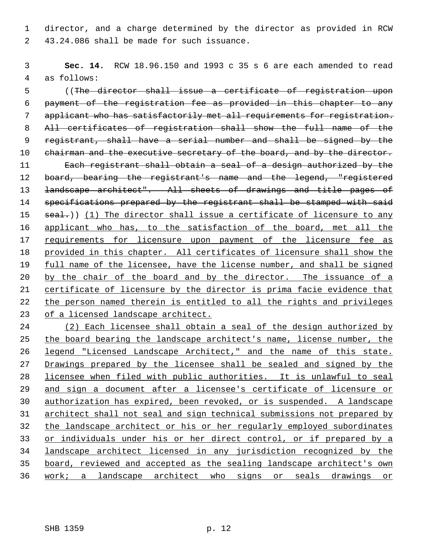1 director, and a charge determined by the director as provided in RCW 2 43.24.086 shall be made for such issuance.

 3 **Sec. 14.** RCW 18.96.150 and 1993 c 35 s 6 are each amended to read 4 as follows:

 5 ((The director shall issue a certificate of registration upon 6 payment of the registration fee as provided in this chapter to any 7 applicant who has satisfactorily met all requirements for registration. 8 All certificates of registration shall show the full name of the 9 registrant, shall have a serial number and shall be signed by the 10 chairman and the executive secretary of the board, and by the director. 11 Each registrant shall obtain a seal of a design authorized by the 12 board, bearing the registrant's name and the legend, "registered 13 <del>landscape architect". All sheets of drawings and title pages of</del> 14 specifications prepared by the registrant shall be stamped with said 15  $real.)$  (1) The director shall issue a certificate of licensure to any 16 applicant who has, to the satisfaction of the board, met all the 17 requirements for licensure upon payment of the licensure fee as 18 provided in this chapter. All certificates of licensure shall show the 19 full name of the licensee, have the license number, and shall be signed 20 by the chair of the board and by the director. The issuance of a 21 certificate of licensure by the director is prima facie evidence that 22 the person named therein is entitled to all the rights and privileges 23 of a licensed landscape architect.

 (2) Each licensee shall obtain a seal of the design authorized by the board bearing the landscape architect's name, license number, the legend "Licensed Landscape Architect," and the name of this state. 27 Drawings prepared by the licensee shall be sealed and signed by the licensee when filed with public authorities. It is unlawful to seal and sign a document after a licensee's certificate of licensure or authorization has expired, been revoked, or is suspended. A landscape architect shall not seal and sign technical submissions not prepared by the landscape architect or his or her regularly employed subordinates 33 or individuals under his or her direct control, or if prepared by a landscape architect licensed in any jurisdiction recognized by the board, reviewed and accepted as the sealing landscape architect's own work; a landscape architect who signs or seals drawings or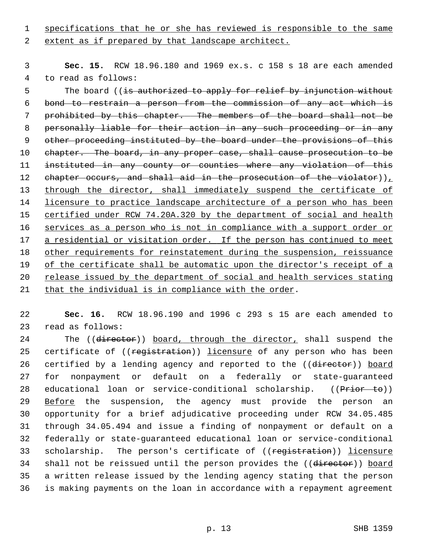1 specifications that he or she has reviewed is responsible to the same

2 extent as if prepared by that landscape architect.

 3 **Sec. 15.** RCW 18.96.180 and 1969 ex.s. c 158 s 18 are each amended 4 to read as follows:

5 The board ((is authorized to apply for relief by injunction without bond to restrain a person from the commission of any act which is prohibited by this chapter. The members of the board shall not be personally liable for their action in any such proceeding or in any other proceeding instituted by the board under the provisions of this 10 chapter. The board, in any proper case, shall cause prosecution to be instituted in any county or counties where any violation of this 12 chapter occurs, and shall aid in the prosecution of the violator)), through the director, shall immediately suspend the certificate of licensure to practice landscape architecture of a person who has been certified under RCW 74.20A.320 by the department of social and health 16 services as a person who is not in compliance with a support order or 17 a residential or visitation order. If the person has continued to meet other requirements for reinstatement during the suspension, reissuance of the certificate shall be automatic upon the director's receipt of a release issued by the department of social and health services stating that the individual is in compliance with the order.

22 **Sec. 16.** RCW 18.96.190 and 1996 c 293 s 15 are each amended to 23 read as follows:

24 The ((director)) board, through the director, shall suspend the 25 certificate of ((registration)) licensure of any person who has been 26 certified by a lending agency and reported to the ((director)) board 27 for nonpayment or default on a federally or state-guaranteed 28 educational loan or service-conditional scholarship. ((Prior to)) 29 Before the suspension, the agency must provide the person an 30 opportunity for a brief adjudicative proceeding under RCW 34.05.485 31 through 34.05.494 and issue a finding of nonpayment or default on a 32 federally or state-guaranteed educational loan or service-conditional 33 scholarship. The person's certificate of ((registration)) licensure 34 shall not be reissued until the person provides the ((director)) board 35 a written release issued by the lending agency stating that the person 36 is making payments on the loan in accordance with a repayment agreement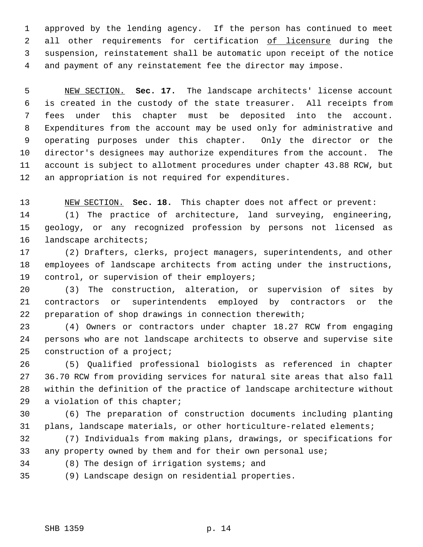1 approved by the lending agency. If the person has continued to meet 2 all other requirements for certification of licensure during the 3 suspension, reinstatement shall be automatic upon receipt of the notice 4 and payment of any reinstatement fee the director may impose.

 5 NEW SECTION. **Sec. 17.** The landscape architects' license account 6 is created in the custody of the state treasurer. All receipts from 7 fees under this chapter must be deposited into the account. 8 Expenditures from the account may be used only for administrative and 9 operating purposes under this chapter. Only the director or the 10 director's designees may authorize expenditures from the account. The 11 account is subject to allotment procedures under chapter 43.88 RCW, but 12 an appropriation is not required for expenditures.

13 NEW SECTION. **Sec. 18.** This chapter does not affect or prevent:

14 (1) The practice of architecture, land surveying, engineering, 15 geology, or any recognized profession by persons not licensed as 16 landscape architects;

17 (2) Drafters, clerks, project managers, superintendents, and other 18 employees of landscape architects from acting under the instructions, 19 control, or supervision of their employers;

20 (3) The construction, alteration, or supervision of sites by 21 contractors or superintendents employed by contractors or the 22 preparation of shop drawings in connection therewith;

23 (4) Owners or contractors under chapter 18.27 RCW from engaging 24 persons who are not landscape architects to observe and supervise site 25 construction of a project;

26 (5) Qualified professional biologists as referenced in chapter 27 36.70 RCW from providing services for natural site areas that also fall 28 within the definition of the practice of landscape architecture without 29 a violation of this chapter;

30 (6) The preparation of construction documents including planting 31 plans, landscape materials, or other horticulture-related elements;

32 (7) Individuals from making plans, drawings, or specifications for 33 any property owned by them and for their own personal use;

34 (8) The design of irrigation systems; and

35 (9) Landscape design on residential properties.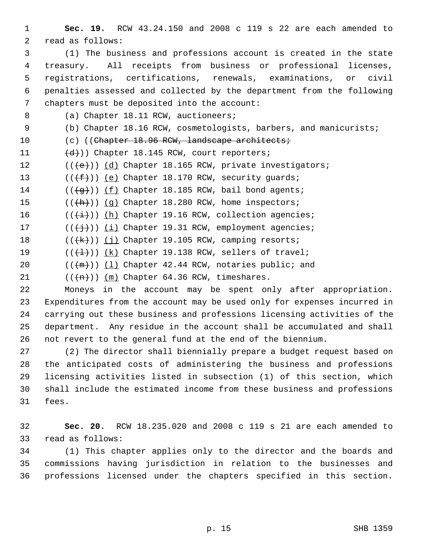- 1 **Sec. 19.** RCW 43.24.150 and 2008 c 119 s 22 are each amended to 2 read as follows:
- 3 (1) The business and professions account is created in the state 4 treasury. All receipts from business or professional licenses, 5 registrations, certifications, renewals, examinations, or civil 6 penalties assessed and collected by the department from the following 7 chapters must be deposited into the account:
- 8 (a) Chapter 18.11 RCW, auctioneers;
- 9 (b) Chapter 18.16 RCW, cosmetologists, barbers, and manicurists;
- 10 (c) ((Chapter 18.96 RCW, landscape architects;
- 11  $(d)$ )) Chapter 18.145 RCW, court reporters;
- 12  $((\{e\})$  (d) Chapter 18.165 RCW, private investigators;
- 13  $((\text{+f-}))$  (e) Chapter 18.170 RCW, security guards;
- 14  $((\overline{q}))$  (f) Chapter 18.185 RCW, bail bond agents;
- 15  $((+h))$   $(q)$  Chapter 18.280 RCW, home inspectors;
- 16  $((\overleftrightarrow{t}))(h)$  Chapter 19.16 RCW, collection agencies;
- 17  $((\n\dagger)^{\prime})$  (i) Chapter 19.31 RCW, employment agencies;
- 18  $((\{\mathsf{k}\})\)$  (j) Chapter 19.105 RCW, camping resorts;
- 19  $((\{\pm\}))(k)$  Chapter 19.138 RCW, sellers of travel;
- 20  $((\text{+m}))(1)$  Chapter 42.44 RCW, notaries public; and

21  $((+n))$  (m) Chapter 64.36 RCW, timeshares.

- 22 Moneys in the account may be spent only after appropriation. 23 Expenditures from the account may be used only for expenses incurred in 24 carrying out these business and professions licensing activities of the 25 department. Any residue in the account shall be accumulated and shall 26 not revert to the general fund at the end of the biennium.
- 27 (2) The director shall biennially prepare a budget request based on 28 the anticipated costs of administering the business and professions 29 licensing activities listed in subsection (1) of this section, which 30 shall include the estimated income from these business and professions 31 fees.
- 32 **Sec. 20.** RCW 18.235.020 and 2008 c 119 s 21 are each amended to 33 read as follows:
- 34 (1) This chapter applies only to the director and the boards and 35 commissions having jurisdiction in relation to the businesses and 36 professions licensed under the chapters specified in this section.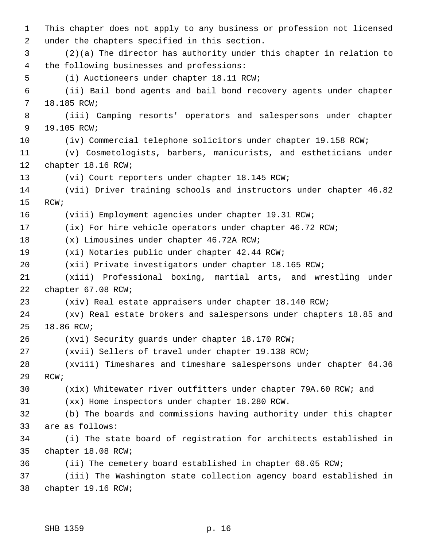1 This chapter does not apply to any business or profession not licensed 2 under the chapters specified in this section. 3 (2)(a) The director has authority under this chapter in relation to 4 the following businesses and professions: 5 (i) Auctioneers under chapter 18.11 RCW; 6 (ii) Bail bond agents and bail bond recovery agents under chapter 7 18.185 RCW; 8 (iii) Camping resorts' operators and salespersons under chapter 9 19.105 RCW; 10 (iv) Commercial telephone solicitors under chapter 19.158 RCW; 11 (v) Cosmetologists, barbers, manicurists, and estheticians under 12 chapter 18.16 RCW; 13 (vi) Court reporters under chapter 18.145 RCW; 14 (vii) Driver training schools and instructors under chapter 46.82 15 RCW; 16 (viii) Employment agencies under chapter 19.31 RCW; 17 (ix) For hire vehicle operators under chapter 46.72 RCW; 18 (x) Limousines under chapter 46.72A RCW; 19 (xi) Notaries public under chapter 42.44 RCW; 20 (xii) Private investigators under chapter 18.165 RCW; 21 (xiii) Professional boxing, martial arts, and wrestling under 22 chapter 67.08 RCW; 23 (xiv) Real estate appraisers under chapter 18.140 RCW; 24 (xv) Real estate brokers and salespersons under chapters 18.85 and 25 18.86 RCW; 26 (xvi) Security guards under chapter 18.170 RCW; 27 (xvii) Sellers of travel under chapter 19.138 RCW; 28 (xviii) Timeshares and timeshare salespersons under chapter 64.36 29 RCW; 30 (xix) Whitewater river outfitters under chapter 79A.60 RCW; and 31 (xx) Home inspectors under chapter 18.280 RCW. 32 (b) The boards and commissions having authority under this chapter 33 are as follows: 34 (i) The state board of registration for architects established in 35 chapter 18.08 RCW; 36 (ii) The cemetery board established in chapter 68.05 RCW; 37 (iii) The Washington state collection agency board established in 38 chapter 19.16 RCW;